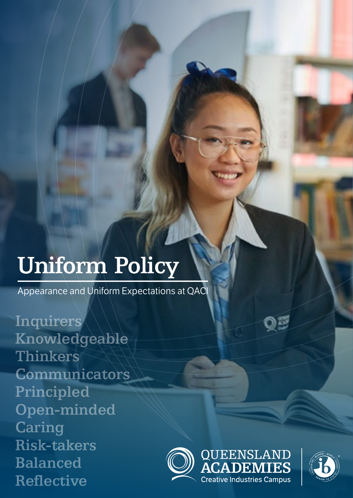# Uniform Policy

Appearance and Uniform Expectations at QACI

**Inquirers** Knowledgeable Thinkers **Communicators** Principled Open-minded **Caring** Risk-takers Balanced Reflective





Q

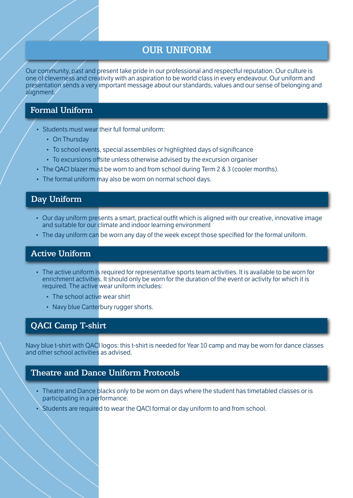# OUR UNIFORM

Our community, past and present take pride in our professional and respectful reputation. Our culture is one of cleverness and creativity with an aspiration to be world class in every endeavour. Our uniform and presentation sends a very important message about our standards, values and our sense of belonging and alignment.

# Formal Uniform

- Students must wear their full formal uniform:
	- On Thursday
	- To school events, special assemblies or highlighted days of significance
	- To excursions offsite unless otherwise advised by the excursion organiser
- The QACI blazer must be worn to and from school during Term 2 & 3 (cooler months).
- The formal uniform may also be worn on normal school days.

## Day Uniform

- Our day uniform presents a smart, practical outfit which is aligned with our creative, innovative image and suitable for our climate and indoor learning environment
- The day uniform can be worn any day of the week except those specified for the formal uniform.

#### Active Uniform

- The active uniform is required for representative sports team activities. It is available to be worn for enrichment activities. It should only be worn for the duration of the event or activity for which it is required. The active wear uniform includes:
	- The school active wear shirt
	- Navy blue Canterbury rugger shorts.

#### QACI Camp T-shirt

Navy blue t-shirt with QACI logos: this t-shirt is needed for Year 10 camp and may be worn for dance classes and other school activities as advised.

#### Theatre and Dance Uniform Protocols

- Theatre and Dance blacks only to be worn on days where the student has timetabled classes or is participating in a performance.
- Students are required to wear the QACI formal or day uniform to and from school.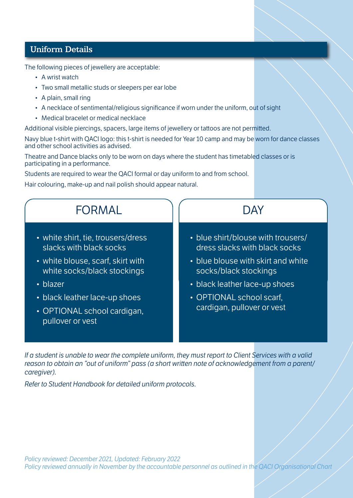## Uniform Details

The following pieces of jewellery are acceptable:

- A wrist watch
- Two small metallic studs or sleepers per ear lobe
- A plain, small ring
- A necklace of sentimental/religious significance if worn under the uniform, out of sight
- Medical bracelet or medical necklace

Additional visible piercings, spacers, large items of jewellery or tattoos are not permitted.

Navy blue t-shirt with QACI logo: this t-shirt is needed for Year 10 camp and may be worn for dance classes and other school activities as advised.

Theatre and Dance blacks only to be worn on days where the student has timetabled classes or is participating in a performance.

Students are required to wear the QACI formal or day uniform to and from school.

Hair colouring, make-up and nail polish should appear natural.

| FORMAL                                                                                                                                                                                                                                  | DAY                                                                                                                                                                                                                           |
|-----------------------------------------------------------------------------------------------------------------------------------------------------------------------------------------------------------------------------------------|-------------------------------------------------------------------------------------------------------------------------------------------------------------------------------------------------------------------------------|
| • white shirt, tie, trousers/dress<br>slacks with black socks<br>• white blouse, scarf, skirt with<br>white socks/black stockings<br>$\cdot$ blazer<br>• black leather lace-up shoes<br>• OPTIONAL school cardigan,<br>pullover or vest | • blue shirt/blouse with trousers/<br>dress slacks with black socks<br>• blue blouse with skirt and white<br>socks/black stockings<br>• black leather lace-up shoes<br>• OPTIONAL school scarf,<br>cardigan, pullover or vest |

*If a student is unable to wear the complete uniform, they must report to Client Services with a valid reason to obtain an "out of uniform" pass (a short written note of acknowledgement from a parent/ caregiver).* 

*Refer to Student Handbook for detailed uniform protocols.*